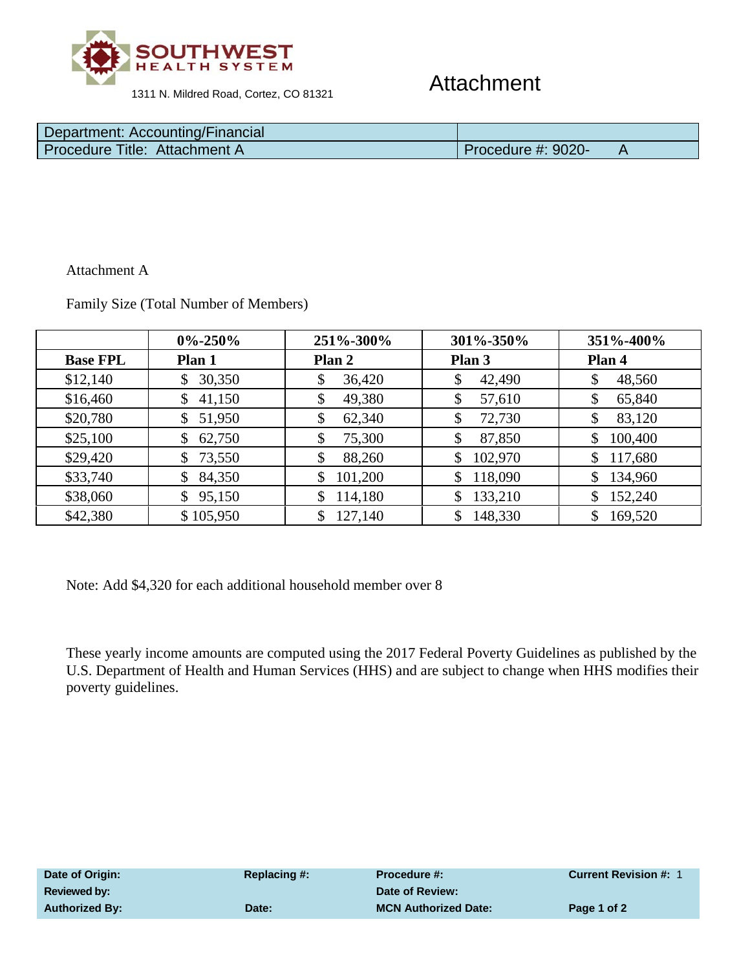

## Attachment

| Department: Accounting/Financial |                    |  |
|----------------------------------|--------------------|--|
| Procedure Title: Attachment A    | Procedure #: 9020- |  |

Attachment A

Family Size (Total Number of Members)

|                 | $0\% - 250\%$ | 251%-300%    | 301%-350%     | 351%-400%     |
|-----------------|---------------|--------------|---------------|---------------|
| <b>Base FPL</b> | Plan 1        | Plan 2       | Plan 3        | Plan 4        |
| \$12,140        | 30,350        | 36,420<br>\$ | 42,490        | 48,560        |
| \$16,460        | 41,150        | 49,380       | 57,610        | 65,840        |
| \$20,780        | 51,950<br>\$  | \$<br>62,340 | 72,730        | 83,120<br>\$  |
| \$25,100        | 62,750<br>\$  | 75,300<br>\$ | 87,850<br>\$  | 100,400<br>\$ |
| \$29,420        | 73,550        | 88,260<br>\$ | 102,970<br>\$ | 117,680<br>\$ |
| \$33,740        | 84,350        | 101,200      | 118,090<br>\$ | 134,960       |
| \$38,060        | 95,150<br>\$  | 114,180      | 133,210<br>\$ | 152,240<br>\$ |
| \$42,380        | \$105,950     | 127,140      | 148,330<br>\$ | 169,520<br>\$ |

Note: Add \$4,320 for each additional household member over 8

These yearly income amounts are computed using the 2017 Federal Poverty Guidelines as published by the U.S. Department of Health and Human Services (HHS) and are subject to change when HHS modifies their poverty guidelines.

| Date of Origin:       | Replacing #: | <b>Procedure #:</b>         | <b>Current Revision #:</b> |
|-----------------------|--------------|-----------------------------|----------------------------|
| Reviewed by:          |              | Date of Review:             |                            |
| <b>Authorized By:</b> | Date:        | <b>MCN Authorized Date:</b> | Page 1 of 2                |
|                       |              |                             |                            |